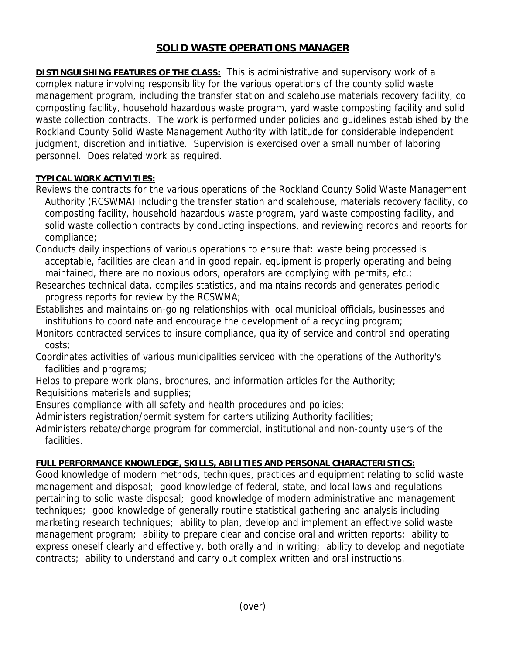## **SOLID WASTE OPERATIONS MANAGER**

**DISTINGUISHING FEATURES OF THE CLASS:** This is administrative and supervisory work of a complex nature involving responsibility for the various operations of the county solid waste management program, including the transfer station and scalehouse materials recovery facility, co composting facility, household hazardous waste program, yard waste composting facility and solid waste collection contracts. The work is performed under policies and guidelines established by the Rockland County Solid Waste Management Authority with latitude for considerable independent judgment, discretion and initiative. Supervision is exercised over a small number of laboring personnel. Does related work as required.

## **TYPICAL WORK ACTIVITIES:**

- Reviews the contracts for the various operations of the Rockland County Solid Waste Management Authority (RCSWMA) including the transfer station and scalehouse, materials recovery facility, co composting facility, household hazardous waste program, yard waste composting facility, and solid waste collection contracts by conducting inspections, and reviewing records and reports for compliance;
- Conducts daily inspections of various operations to ensure that: waste being processed is acceptable, facilities are clean and in good repair, equipment is properly operating and being maintained, there are no noxious odors, operators are complying with permits, etc.;
- Researches technical data, compiles statistics, and maintains records and generates periodic progress reports for review by the RCSWMA;
- Establishes and maintains on-going relationships with local municipal officials, businesses and institutions to coordinate and encourage the development of a recycling program;
- Monitors contracted services to insure compliance, quality of service and control and operating costs;
- Coordinates activities of various municipalities serviced with the operations of the Authority's facilities and programs;
- Helps to prepare work plans, brochures, and information articles for the Authority; Requisitions materials and supplies;
- Ensures compliance with all safety and health procedures and policies;
- Administers registration/permit system for carters utilizing Authority facilities;
- Administers rebate/charge program for commercial, institutional and non-county users of the facilities.

## **FULL PERFORMANCE KNOWLEDGE, SKILLS, ABILITIES AND PERSONAL CHARACTERISTICS:**

Good knowledge of modern methods, techniques, practices and equipment relating to solid waste management and disposal; good knowledge of federal, state, and local laws and regulations pertaining to solid waste disposal; good knowledge of modern administrative and management techniques; good knowledge of generally routine statistical gathering and analysis including marketing research techniques; ability to plan, develop and implement an effective solid waste management program; ability to prepare clear and concise oral and written reports; ability to express oneself clearly and effectively, both orally and in writing; ability to develop and negotiate contracts; ability to understand and carry out complex written and oral instructions.